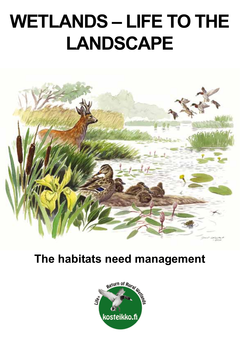## **Kosteiko Kosteiko Erretaren 17a - Andre Erretaren 17a - Andre Erretaren 17a - Andre Erretaren 17a - Andre Erretaren 17a - Andre Erretaren 17a - Andre Erretaren 17a - Andre Erretaren 17a - Andre Erretaren 17a - Andre Erret WETLANDS – LIFE TO THE LANDSCAPE**



# **The habitats need management**

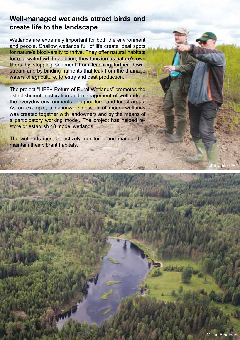### **Well-managed wetlands attract birds and create life to the landscape**

Wetlands are extremely important for both the environment and people. Shallow wetlands full of life create ideal spots for nature's biodiversity to thrive. They offer natural habitats for e.g. waterfowl. In addition, they function as nature's own filters by stopping sediment from leaching further downstream and by binding nutrients that leak from the drainage waters of agriculture, forestry and peat production.

The project "LIFE+ Return of Rural Wetlands" promotes the establishment, restoration and management of wetlands in the everyday environments of agricultural and forest areas. As an example, a nationwide network of model wetlands was created together with landowners and by the means of a participatory working model. The project has helped restore or establish 48 model wetlands.

The wetlands must be actively monitored and managed to maintain their vibrant habitats.

atianing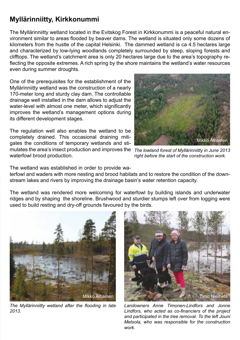### **Myllärinniitty, Kirkkonummi**

The Myllärinniitty wetland located in the Evitskog Forest in Kirkkonummi is a peaceful natural environment similar to areas flooded by beaver dams. The wetland is situated only some dozens of kilometers from the hustle of the capital Helsinki. The dammed wetland is ca 4.5 hectares large and characterized by low-lying woodlands completely surrounded by steep, sloping forests and clifftops. The wetland's catchment area is only 20 hectares large due to the area's topography reflecting the opposite extremes. A rich spring by the shore maintains the wetland's water resources even during summer droughts.

One of the prerequisites for the establishment of the Myllärinniitty wetland was the construction of a nearly 170-meter long and sturdy clay dam. The controllable drainage well installed in the dam allows to adjust the water-level with almost one meter, which significantly improves the wetland's management options during its different development stages.

The regulation well also enables the wetland to be completely drained. This occasional draining mitigates the conditions of temporary wetlands and stimulates the area's insect production and improves the *The lowland forest of Myllärinniitty in June 2013*  waterfowl brood production.



*right before the start of the construction work.*

The wetland was established in order to provide wa-

terfowl and waders with more nesting and brood habitats and to restore the condition of the downstream lakes and rivers by improving the drainage basin's water retention capacity.

The wetland was rendered more welcoming for waterfowl by building islands and underwater ridges and by shaping the shoreline. Brushwood and sturdier stumps left over from logging were used to build resting and dry-off grounds favoured by the birds.



*The Myllärinniitty wetland after the flooding in late 2013.*



*Landowners Anne Timonen-Lindfors and Jonne Lindfors, who acted as co-financiers of the project and participated in the tree removal. To the left Jouni Metsola, who was responsible for the construction work.*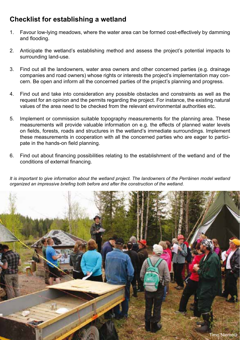## **Checklist for establishing a wetland**

- 1. Favour low-lying meadows, where the water area can be formed cost-effectively by damming and flooding.
- 2. Anticipate the wetland's establishing method and assess the project's potential impacts to surrounding land-use.
- 3. Find out all the landowners, water area owners and other concerned parties (e.g. drainage companies and road owners) whose rights or interests the project's implementation may concern. Be open and inform all the concerned parties of the project's planning and progress.
- 4. Find out and take into consideration any possible obstacles and constraints as well as the request for an opinion and the permits regarding the project. For instance, the existing natural values of the area need to be checked from the relevant environmental authorities etc.
- 5. Implement or commission suitable topography measurements for the planning area. These measurements will provide valuable information on e.g. the effects of planned water levels on fields, forests, roads and structures in the wetland's immediate surroundings. Implement these measurements in cooperation with all the concerned parties who are eager to participate in the hands-on field planning.
- 6. Find out about financing possibilities relating to the establishment of the wetland and of the conditions of external financing.

*It is important to give information about the wetland project. The landowners of the Perräinen model wetland organized an impressive briefing both before and after the construction of the wetland.*

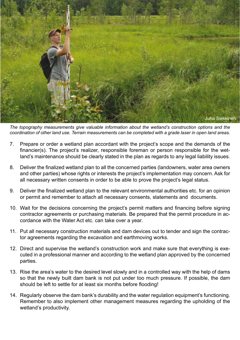

*The topography measurements give valuable information about the wetland's construction options and the coordination of other land use. Terrain measurements can be completed with a grade laser in open land areas.*

- 7. Prepare or order a wetland plan accordant with the project's scope and the demands of the financier(s). The project's realizer, responsible foreman or person responsible for the wetland's maintenance should be clearly stated in the plan as regards to any legal liability issues.
- 8. Deliver the finalized wetland plan to all the concerned parties (landowners, water area owners and other parties) whose rights or interests the project's implementation may concern. Ask for all necessary written consents in order to be able to prove the project's legal status.
- 9. Deliver the finalized wetland plan to the relevant environmental authorities etc. for an opinion or permit and remember to attach all necessary consents, statements and documents.
- 10. Wait for the decisions concerning the project's permit matters and financing before signing contractor agreements or purchasing materials. Be prepared that the permit procedure in accordance with the Water Act etc. can take over a year.
- 11. Put all necessary construction materials and dam devices out to tender and sign the contractor agreements regarding the excavation and earthmoving works.
- 12. Direct and supervise the wetland's construction work and make sure that everything is executed in a professional manner and according to the wetland plan approved by the concerned parties.
- 13. Rise the area's water to the desired level slowly and in a controlled way with the help of dams so that the newly built dam bank is not put under too much pressure. If possible, the dam should be left to settle for at least six months before flooding!
- 14. Regularly observe the dam bank's durability and the water regulation equipment's functioning. Remember to also implement other management measures regarding the upholding of the wetland's productivity.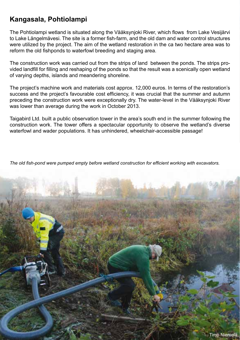## **Kangasala, Pohtiolampi**

The Pohtiolampi wetland is situated along the Vääksynjoki River, which flows from Lake Vesijärvi to Lake Längelmävesi. The site is a former fish-farm, and the old dam and water control structures were utilized by the project. The aim of the wetland restoration in the ca two hectare area was to reform the old fishponds to waterfowl breeding and staging area.

The construction work was carried out from the strips of land between the ponds. The strips provided landfill for filling and reshaping of the ponds so that the result was a scenically open wetland of varying depths, islands and meandering shoreline.

The project's machine work and materials cost approx. 12,000 euros. In terms of the restoration's success and the project's favourable cost efficiency, it was crucial that the summer and autumn preceding the construction work were exceptionally dry. The water-level in the Vääksynjoki River was lower than average during the work in October 2013.

Taigabird Ltd. built a public observation tower in the area's south end in the summer following the construction work. The tower offers a spectacular opportunity to observe the wetland's diverse waterfowl and wader populations. It has unhindered, wheelchair-accessible passage!

*The old fish-pond were pumped empty before wetland construction for efficient working with excavators.*

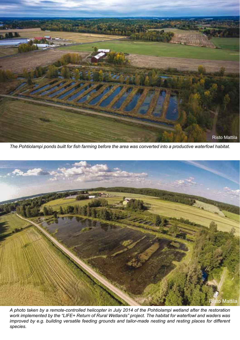

*The Pohtiolampi ponds built for fish farming before the area was converted into a productive waterfowl habitat.*



*A photo taken by a remote-controlled helicopter in July 2014 of the Pohtiolampi wetland after the restoration work implemented by the "LIFE+ Return of Rural Wetlands" project. The habitat for waterfowl and waders was improved by e.g. building versatile feeding grounds and tailor-made nesting and resting places for different species.*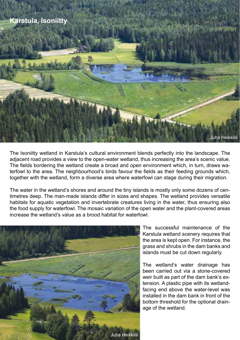

The Isoniitty wetland in Karstula's cultural environment blends perfectly into the landscape. The adjacent road provides a view to the open-water wetland, thus increasing the area's scenic value. The fields bordering the wetland create a broad and open environment which, in turn, draws waterfowl to the area. The neighbourhood's birds favour the fields as their feeding grounds which, together with the wetland, form a diverse area where waterfowl can stage during their migration.

The water in the wetland's shores and around the tiny islands is mostly only some dozens of centimetres deep. The man-made islands differ in sizes and shapes. The wetland provides versatile habitats for aquatic vegetation and invertebrate creatures living in the water, thus ensuring also the food supply for waterfowl. The mosaic variation of the open water and the plant-covered areas increase the wetland's value as a brood habitat for waterfowl.



The successful maintenance of the Karstula wetland scenery requires that the area is kept open. For instance, the grass and shrubs in the dam banks and islands must be cut down regularly.

The wetland's water drainage has been carried out via a stone-covered weir built as part of the dam bank's extension. A plastic pipe with its wetlandfacing end above the water-level was installed in the dam bank in front of the bottom threshold for the optional drainage of the wetland.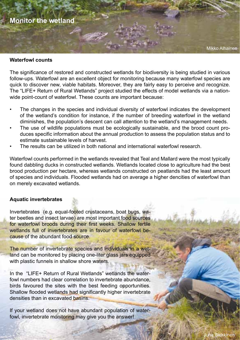

#### **Waterfowl counts**

The significance of restored and constructed wetlands for biodiversity is being studied in various follow-ups. Waterfowl are an excellent object for monitoring because many waterfowl species are quick to discover new, viable habitats. Moreover, they are fairly easy to perceive and recognize. The "LIFE+ Return of Rural Wetlands" project studied the effects of model wetlands via a nationwide point-count of waterfowl. These counts are important because:

- The changes in the species and individual diversity of waterfowl indicates the development of the wetland's condition for instance, if the number of breeding waterfowl in the wetland diminishes, the population's descent can call attention to the wetland's management needs.
- The use of wildlife populations must be ecologically sustainable, and the brood count produces specific information about the annual production to assess the population status and to estimate sustainable levels of harvest.
- The results can be utilized in both national and international waterfowl research.

Waterfowl counts performed in the wetlands revealed that Teal and Mallard were the most typically found dabbling ducks in constructed wetlands. Wetlands located close to agriculture had the best brood production per hectare, whereas wetlands constructed on peatlands had the least amount of species and individuals. Flooded wetlands had on average a higher dencities of waterfowl than on merely excavated wetlands.

#### **Aquatic invertebrates**

Invertebrates (e.g. equal-footed crustaceans, boat bugs, water beetles and insect larvae) are most important food sources for waterfowl broods during their first weeks. Shallow fertile wetlands full of invertebrates are in favour of waterfowl because of the abundant food source.

The number of invertebrate species and individuals in a wetland can be monitored by placing one-liter glass jars equipped with plastic funnels in shallow shore waters.

In the "LIFE+ Return of Rural Wetlands" wetlands the waterfowl numbers had clear correlation to invertebrate abundance, birds favoured the sites with the best feeding opportunities. Shallow flooded wetlands had significantly higher invertebrate densities than in excavated basins.

If your wetland does not have abundant population of waterfowl, invertebrate monitoring may give you the answer!

Mikko Alhainen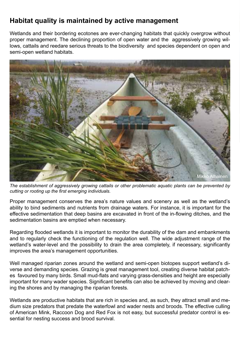## **Habitat quality is maintained by active management**

Wetlands and their bordering ecotones are ever-changing habitats that quickly overgrow without proper management. The declining proportion of open water and the aggressively growing willows, cattails and reedare serious threats to the biodiversity and species dependent on open and semi-open wetland habitats.



*The establishment of aggressively growing cattails or other problematic aquatic plants can be prevented by cutting or rooting up the first emerging individuals.*

Proper management conserves the area's nature values and scenery as well as the wetland's ability to bind sediments and nutrients from drainage waters. For instance, it is important for the effective sedimentation that deep basins are excavated in front of the in-flowing ditches, and the sedimentation basins are emptied when necessary.

Regarding flooded wetlands it is important to monitor the durability of the dam and embankments and to regularly check the functioning of the regulation well. The wide adjustment range of the wetland's water-level and the possibility to drain the area completely, if necessary, significantly improves the area's management opportunities.

Well managed riparian zones around the wetland and semi-open biotopes support wetland's diverse and demanding species. Grazing is great management tool, creating diverse habitat patches favoured by many birds. Small mud-flats and varying grass-densities and height are especially important for many wader species. Significant benefits can also be achieved by moving and clearing the shores and by managing the riparian forests.

Wetlands are productive habitats that are rich in species and, as such, they attract small and medium size predators that predate the waterfowl and wader nests and broods. The effective culling of American Mink, Raccoon Dog and Red Fox is not easy, but successful predator control is essential for nesting success and brood survival.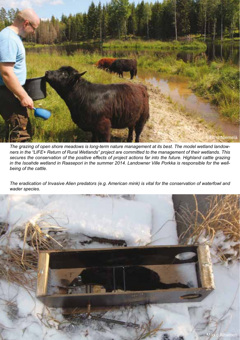

*The grazing of open shore meadows is long-term nature management at its best. The model wetland landowners in the "LIFE+ Return of Rural Wetlands" project are committed to the management of their wetlands. This secures the conservation of the positive effects of project actions far into the future. Highland cattle grazing in the Isoahde wetland in Raasepori in the summer 2014. Landowner Ville Porkka is responsible for the wellbeing of the cattle.*

*The eradication of Invasive Alien predators (e.g. American mink) is vital for the conservation of waterfowl and wader species.*